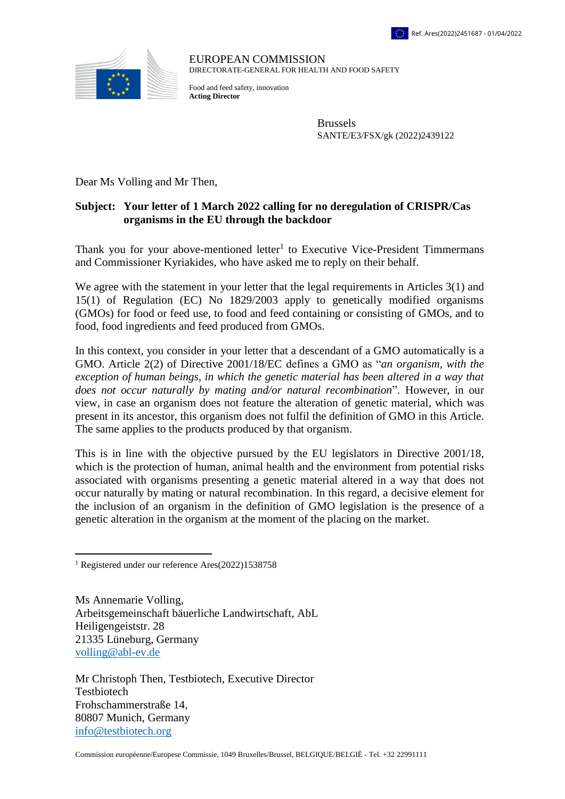

EUROPEAN COMMISSION DIRECTORATE-GENERAL FOR HEALTH AND FOOD SAFETY

Food and feed safety, innovation **Acting Director**

> Brussels SANTE/E3/FSX/gk (2022)2439122

Dear Ms Volling and Mr Then,

## **Subject: Your letter of 1 March 2022 calling for no deregulation of CRISPR/Cas organisms in the EU through the backdoor**

Thank you for your above-mentioned letter<sup>1</sup> to Executive Vice-President Timmermans and Commissioner Kyriakides, who have asked me to reply on their behalf.

We agree with the statement in your letter that the legal requirements in Articles 3(1) and 15(1) of Regulation (EC) No 1829/2003 apply to genetically modified organisms (GMOs) for food or feed use, to food and feed containing or consisting of GMOs, and to food, food ingredients and feed produced from GMOs.

In this context, you consider in your letter that a descendant of a GMO automatically is a GMO. Article 2(2) of Directive 2001/18/EC defines a GMO as "*an organism, with the exception of human beings, in which the genetic material has been altered in a way that does not occur naturally by mating and/or natural recombination*". However, in our view, in case an organism does not feature the alteration of genetic material, which was present in its ancestor, this organism does not fulfil the definition of GMO in this Article. The same applies to the products produced by that organism.

This is in line with the objective pursued by the EU legislators in Directive 2001/18, which is the protection of human, animal health and the environment from potential risks associated with organisms presenting a genetic material altered in a way that does not occur naturally by mating or natural recombination. In this regard, a decisive element for the inclusion of an organism in the definition of GMO legislation is the presence of a genetic alteration in the organism at the moment of the placing on the market.

Ms Annemarie Volling, Arbeitsgemeinschaft bäuerliche Landwirtschaft, AbL Heiligengeiststr. 28 21335 Lüneburg, Germany [volling@abl-ev.de](mailto:volling@abl-ev.de)

Mr Christoph Then, Testbiotech, Executive Director Testbiotech Frohschammerstraße 14, 80807 Munich, Germany [info@testbiotech.org](mailto:info@testbiotech.org)

 $\overline{a}$ <sup>1</sup> Registered under our reference Ares(2022)1538758